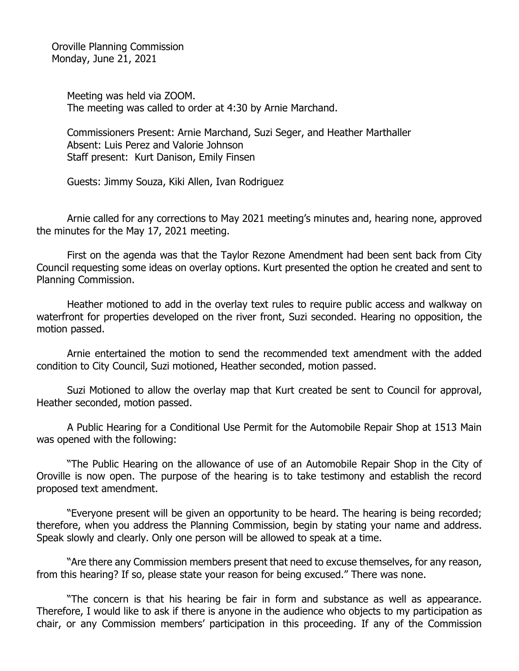Oroville Planning Commission Monday, June 21, 2021

> Meeting was held via ZOOM. The meeting was called to order at 4:30 by Arnie Marchand.

Commissioners Present: Arnie Marchand, Suzi Seger, and Heather Marthaller Absent: Luis Perez and Valorie Johnson Staff present: Kurt Danison, Emily Finsen

Guests: Jimmy Souza, Kiki Allen, Ivan Rodriguez

Arnie called for any corrections to May 2021 meeting's minutes and, hearing none, approved the minutes for the May 17, 2021 meeting.

First on the agenda was that the Taylor Rezone Amendment had been sent back from City Council requesting some ideas on overlay options. Kurt presented the option he created and sent to Planning Commission.

Heather motioned to add in the overlay text rules to require public access and walkway on waterfront for properties developed on the river front, Suzi seconded. Hearing no opposition, the motion passed.

Arnie entertained the motion to send the recommended text amendment with the added condition to City Council, Suzi motioned, Heather seconded, motion passed.

Suzi Motioned to allow the overlay map that Kurt created be sent to Council for approval, Heather seconded, motion passed.

A Public Hearing for a Conditional Use Permit for the Automobile Repair Shop at 1513 Main was opened with the following:

"The Public Hearing on the allowance of use of an Automobile Repair Shop in the City of Oroville is now open. The purpose of the hearing is to take testimony and establish the record proposed text amendment.

"Everyone present will be given an opportunity to be heard. The hearing is being recorded; therefore, when you address the Planning Commission, begin by stating your name and address. Speak slowly and clearly. Only one person will be allowed to speak at a time.

"Are there any Commission members present that need to excuse themselves, for any reason, from this hearing? If so, please state your reason for being excused." There was none.

"The concern is that his hearing be fair in form and substance as well as appearance. Therefore, I would like to ask if there is anyone in the audience who objects to my participation as chair, or any Commission members' participation in this proceeding. If any of the Commission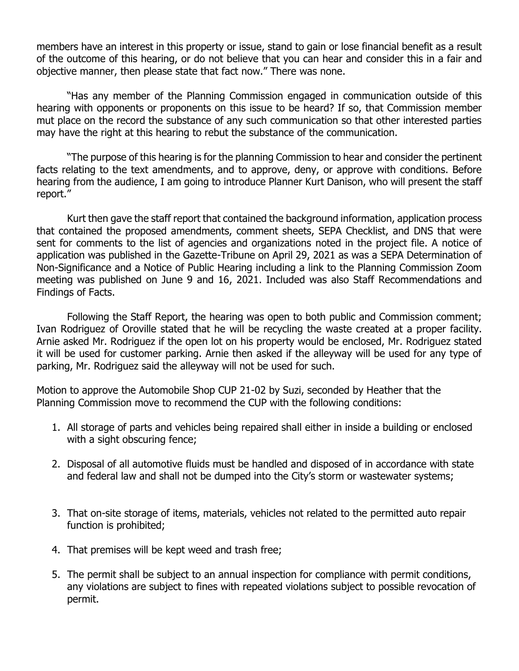members have an interest in this property or issue, stand to gain or lose financial benefit as a result of the outcome of this hearing, or do not believe that you can hear and consider this in a fair and objective manner, then please state that fact now." There was none.

"Has any member of the Planning Commission engaged in communication outside of this hearing with opponents or proponents on this issue to be heard? If so, that Commission member mut place on the record the substance of any such communication so that other interested parties may have the right at this hearing to rebut the substance of the communication.

"The purpose of this hearing is for the planning Commission to hear and consider the pertinent facts relating to the text amendments, and to approve, deny, or approve with conditions. Before hearing from the audience, I am going to introduce Planner Kurt Danison, who will present the staff report."

Kurt then gave the staff report that contained the background information, application process that contained the proposed amendments, comment sheets, SEPA Checklist, and DNS that were sent for comments to the list of agencies and organizations noted in the project file. A notice of application was published in the Gazette-Tribune on April 29, 2021 as was a SEPA Determination of Non-Significance and a Notice of Public Hearing including a link to the Planning Commission Zoom meeting was published on June 9 and 16, 2021. Included was also Staff Recommendations and Findings of Facts.

Following the Staff Report, the hearing was open to both public and Commission comment; Ivan Rodriguez of Oroville stated that he will be recycling the waste created at a proper facility. Arnie asked Mr. Rodriguez if the open lot on his property would be enclosed, Mr. Rodriguez stated it will be used for customer parking. Arnie then asked if the alleyway will be used for any type of parking, Mr. Rodriguez said the alleyway will not be used for such.

Motion to approve the Automobile Shop CUP 21-02 by Suzi, seconded by Heather that the Planning Commission move to recommend the CUP with the following conditions:

- 1. All storage of parts and vehicles being repaired shall either in inside a building or enclosed with a sight obscuring fence;
- 2. Disposal of all automotive fluids must be handled and disposed of in accordance with state and federal law and shall not be dumped into the City's storm or wastewater systems;
- 3. That on-site storage of items, materials, vehicles not related to the permitted auto repair function is prohibited;
- 4. That premises will be kept weed and trash free;
- 5. The permit shall be subject to an annual inspection for compliance with permit conditions, any violations are subject to fines with repeated violations subject to possible revocation of permit.